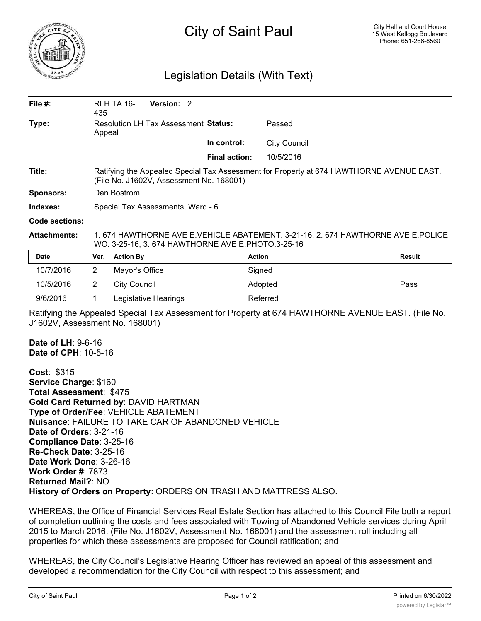

## City of Saint Paul

## Legislation Details (With Text)

| File $#$ :                                                                                                                           | 435                                                                                                                                  | Version: 2<br>RLH TA 16-                                                                                                            |                      |                     |               |  |
|--------------------------------------------------------------------------------------------------------------------------------------|--------------------------------------------------------------------------------------------------------------------------------------|-------------------------------------------------------------------------------------------------------------------------------------|----------------------|---------------------|---------------|--|
| Type:                                                                                                                                | Appeal                                                                                                                               | <b>Resolution LH Tax Assessment Status:</b>                                                                                         |                      | Passed              |               |  |
|                                                                                                                                      |                                                                                                                                      |                                                                                                                                     | In control:          | <b>City Council</b> |               |  |
|                                                                                                                                      |                                                                                                                                      |                                                                                                                                     | <b>Final action:</b> | 10/5/2016           |               |  |
| Title:                                                                                                                               | Ratifying the Appealed Special Tax Assessment for Property at 674 HAWTHORNE AVENUE EAST.<br>(File No. J1602V, Assessment No. 168001) |                                                                                                                                     |                      |                     |               |  |
| <b>Sponsors:</b>                                                                                                                     | Dan Bostrom                                                                                                                          |                                                                                                                                     |                      |                     |               |  |
| Indexes:                                                                                                                             | Special Tax Assessments, Ward - 6                                                                                                    |                                                                                                                                     |                      |                     |               |  |
| <b>Code sections:</b>                                                                                                                |                                                                                                                                      |                                                                                                                                     |                      |                     |               |  |
| <b>Attachments:</b>                                                                                                                  |                                                                                                                                      | 1.674 HAWTHORNE AVE E.VEHICLE ABATEMENT. 3-21-16, 2.674 HAWTHORNE AVE E.POLICE<br>WO. 3-25-16, 3. 674 HAWTHORNE AVE E.PHOTO.3-25-16 |                      |                     |               |  |
| Date                                                                                                                                 | Ver.                                                                                                                                 | <b>Action By</b>                                                                                                                    |                      | <b>Action</b>       | <b>Result</b> |  |
| 10/7/2016                                                                                                                            | 2                                                                                                                                    | Mayor's Office                                                                                                                      |                      | Signed              |               |  |
| 10/5/2016                                                                                                                            | 2                                                                                                                                    | <b>City Council</b>                                                                                                                 |                      | Adopted             | Pass          |  |
| 9/6/2016                                                                                                                             | 1                                                                                                                                    | Legislative Hearings                                                                                                                |                      | Referred            |               |  |
| Ratifying the Appealed Special Tax Assessment for Property at 674 HAWTHORNE AVENUE EAST. (File No.<br>J1602V, Assessment No. 168001) |                                                                                                                                      |                                                                                                                                     |                      |                     |               |  |
| <b>Date of LH: 9-6-16</b><br>Date of CPH: 10-5-16                                                                                    |                                                                                                                                      |                                                                                                                                     |                      |                     |               |  |
| <b>Cost: \$315</b><br>Service Charge: \$160<br><b>Total Assessment: \$475</b>                                                        |                                                                                                                                      | <b>Gold Card Returned by: DAVID HARTMAN</b>                                                                                         |                      |                     |               |  |

**Gold Card Returned by**: DAVID HARTMAN **Type of Order/Fee**: VEHICLE ABATEMENT **Nuisance**: FAILURE TO TAKE CAR OF ABANDONED VEHICLE **Date of Orders**: 3-21-16 **Compliance Date**: 3-25-16 **Re-Check Date**: 3-25-16 **Date Work Done**: 3-26-16 **Work Order #**: 7873 **Returned Mail?**: NO **History of Orders on Property**: ORDERS ON TRASH AND MATTRESS ALSO.

WHEREAS, the Office of Financial Services Real Estate Section has attached to this Council File both a report of completion outlining the costs and fees associated with Towing of Abandoned Vehicle services during April 2015 to March 2016. (File No. J1602V, Assessment No. 168001) and the assessment roll including all properties for which these assessments are proposed for Council ratification; and

WHEREAS, the City Council's Legislative Hearing Officer has reviewed an appeal of this assessment and developed a recommendation for the City Council with respect to this assessment; and